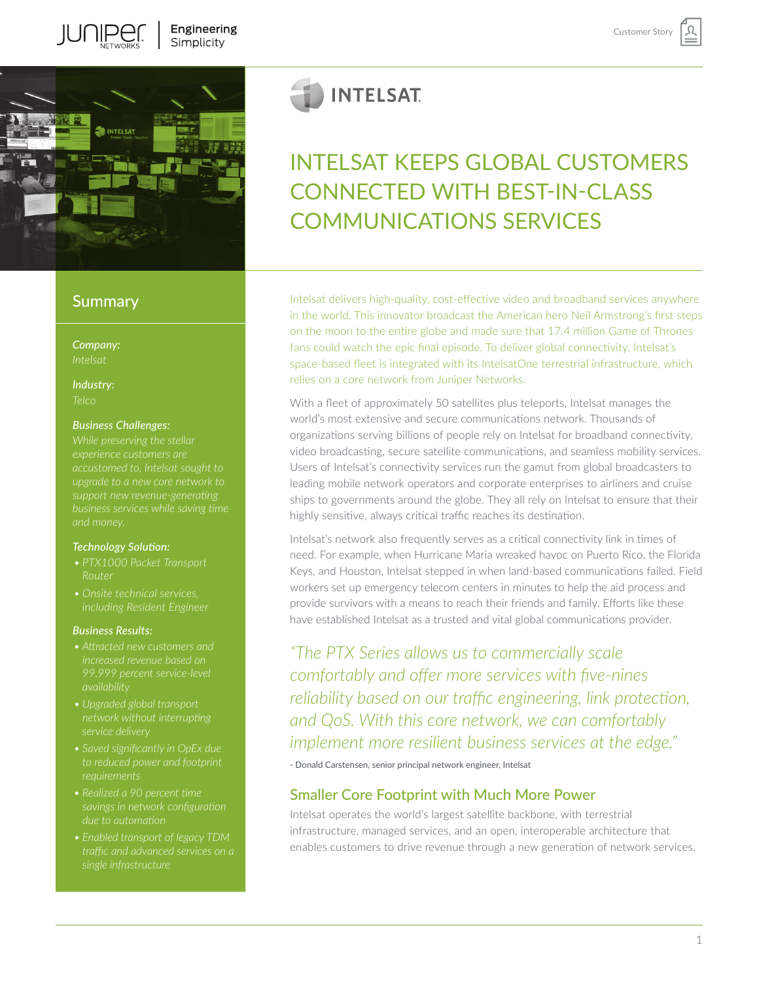

# **Summary**

*Company:*

*Industry:*

#### *Business Challenges:*

*While preserving the stellar experience customers are upgrade to a new core network to support new revenue-generating* 

#### *Technology Solution:*

- *• PTX1000 Packet Transport Router*
- 

#### *Business Results:*

- 
- *• Upgraded global transport service delivery*
- *• Saved significantly in OpEx due to reduced power and footprint*
- 
- 

# **INTELSAT**

# INTELSAT KEEPS GLOBAL CUSTOMERS CONNECTED WITH BEST-IN-CLASS COMMUNICATIONS SERVICES

Intelsat delivers high-quality, cost-effective video and broadband services anywhere in the world. This innovator broadcast the American hero Neil Armstrong's first steps on the moon to the entire globe and made sure that 17.4 million Game of Thrones fans could watch the epic final episode. To deliver global connectivity, Intelsat's space-based fleet is integrated with its IntelsatOne terrestrial infrastructure, which relies on a core network from Juniper Networks.

With a fleet of approximately 50 satellites plus teleports, Intelsat manages the world's most extensive and secure communications network. Thousands of organizations serving billions of people rely on Intelsat for broadband connectivity, video broadcasting, secure satellite communications, and seamless mobility services. Users of Intelsat's connectivity services run the gamut from global broadcasters to leading mobile network operators and corporate enterprises to airliners and cruise ships to governments around the globe. They all rely on Intelsat to ensure that their highly sensitive, always critical traffic reaches its destination.

Intelsat's network also frequently serves as a critical connectivity link in times of need. For example, when Hurricane Maria wreaked havoc on Puerto Rico, the Florida Keys, and Houston, Intelsat stepped in when land-based communications failed. Field workers set up emergency telecom centers in minutes to help the aid process and provide survivors with a means to reach their friends and family. Efforts like these have established Intelsat as a trusted and vital global communications provider.

*"The PTX Series allows us to commercially scale comfortably and offer more services with five-nines reliability based on our traffic engineering, link protection, and QoS. With this core network, we can comfortably implement more resilient business services at the edge."*

- Donald Carstensen, senior principal network engineer, Intelsat

# Smaller Core Footprint with Much More Power

Intelsat operates the world's largest satellite backbone, with terrestrial infrastructure, managed services, and an open, interoperable architecture that enables customers to drive revenue through a new generation of network services.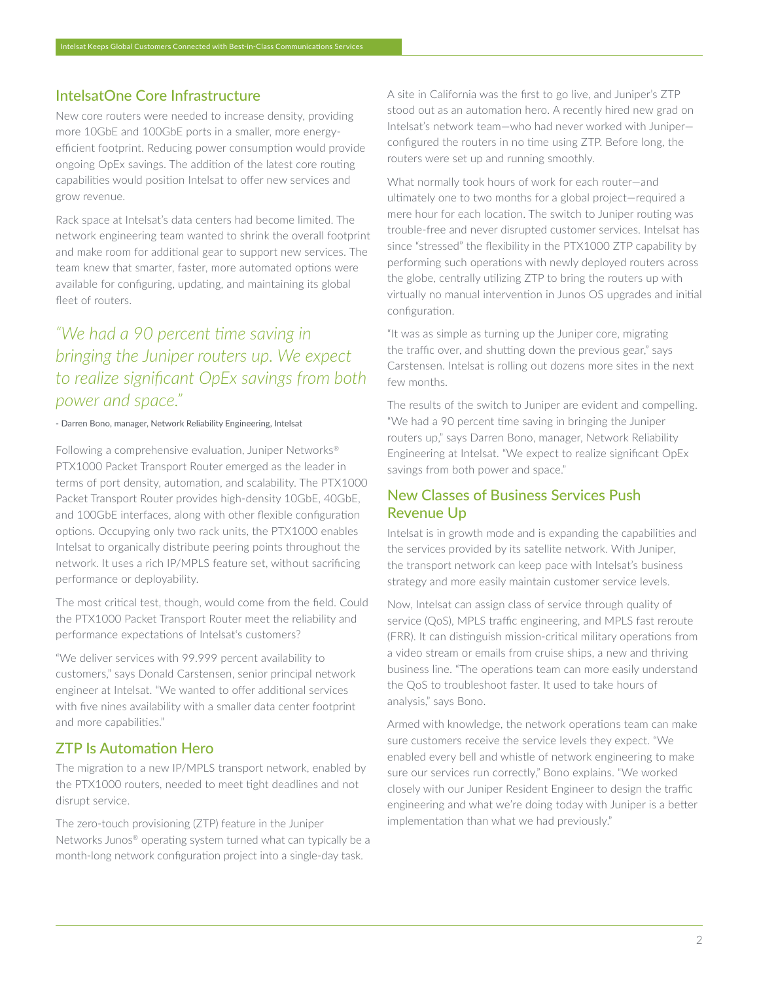# IntelsatOne Core Infrastructure

New core routers were needed to increase density, providing more 10GbE and 100GbE ports in a smaller, more energyefficient footprint. Reducing power consumption would provide ongoing OpEx savings. The addition of the latest core routing capabilities would position Intelsat to offer new services and grow revenue.

Rack space at Intelsat's data centers had become limited. The network engineering team wanted to shrink the overall footprint and make room for additional gear to support new services. The team knew that smarter, faster, more automated options were available for configuring, updating, and maintaining its global fleet of routers.

# *"We had a 90 percent time saving in bringing the Juniper routers up. We expect to realize significant OpEx savings from both power and space."*

#### - Darren Bono, manager, Network Reliability Engineering, Intelsat

Following a comprehensive evaluation, Juniper Networks® PTX1000 Packet Transport Router emerged as the leader in terms of port density, automation, and scalability. The PTX1000 Packet Transport Router provides high-density 10GbE, 40GbE, and 100GbE interfaces, along with other flexible configuration options. Occupying only two rack units, the PTX1000 enables Intelsat to organically distribute peering points throughout the network. It uses a rich IP/MPLS feature set, without sacrificing performance or deployability.

The most critical test, though, would come from the field. Could the PTX1000 Packet Transport Router meet the reliability and performance expectations of Intelsat's customers?

"We deliver services with 99.999 percent availability to customers," says Donald Carstensen, senior principal network engineer at Intelsat. "We wanted to offer additional services with five nines availability with a smaller data center footprint and more capabilities."

## ZTP Is Automation Hero

The migration to a new IP/MPLS transport network, enabled by the PTX1000 routers, needed to meet tight deadlines and not disrupt service.

The zero-touch provisioning (ZTP) feature in the Juniper Networks Junos® operating system turned what can typically be a month-long network configuration project into a single-day task.

A site in California was the first to go live, and Juniper's ZTP stood out as an automation hero. A recently hired new grad on Intelsat's network team—who had never worked with Juniper configured the routers in no time using ZTP. Before long, the routers were set up and running smoothly.

What normally took hours of work for each router—and ultimately one to two months for a global project—required a mere hour for each location. The switch to Juniper routing was trouble-free and never disrupted customer services. Intelsat has since "stressed" the flexibility in the PTX1000 ZTP capability by performing such operations with newly deployed routers across the globe, centrally utilizing ZTP to bring the routers up with virtually no manual intervention in Junos OS upgrades and initial configuration.

"It was as simple as turning up the Juniper core, migrating the traffic over, and shutting down the previous gear," says Carstensen. Intelsat is rolling out dozens more sites in the next few months.

The results of the switch to Juniper are evident and compelling. "We had a 90 percent time saving in bringing the Juniper routers up," says Darren Bono, manager, Network Reliability Engineering at Intelsat. "We expect to realize significant OpEx savings from both power and space."

# New Classes of Business Services Push Revenue Up

Intelsat is in growth mode and is expanding the capabilities and the services provided by its satellite network. With Juniper, the transport network can keep pace with Intelsat's business strategy and more easily maintain customer service levels.

Now, Intelsat can assign class of service through quality of service (QoS), MPLS traffic engineering, and MPLS fast reroute (FRR). It can distinguish mission-critical military operations from a video stream or emails from cruise ships, a new and thriving business line. "The operations team can more easily understand the QoS to troubleshoot faster. It used to take hours of analysis," says Bono.

Armed with knowledge, the network operations team can make sure customers receive the service levels they expect. "We enabled every bell and whistle of network engineering to make sure our services run correctly," Bono explains. "We worked closely with our Juniper Resident Engineer to design the traffic engineering and what we're doing today with Juniper is a better implementation than what we had previously."